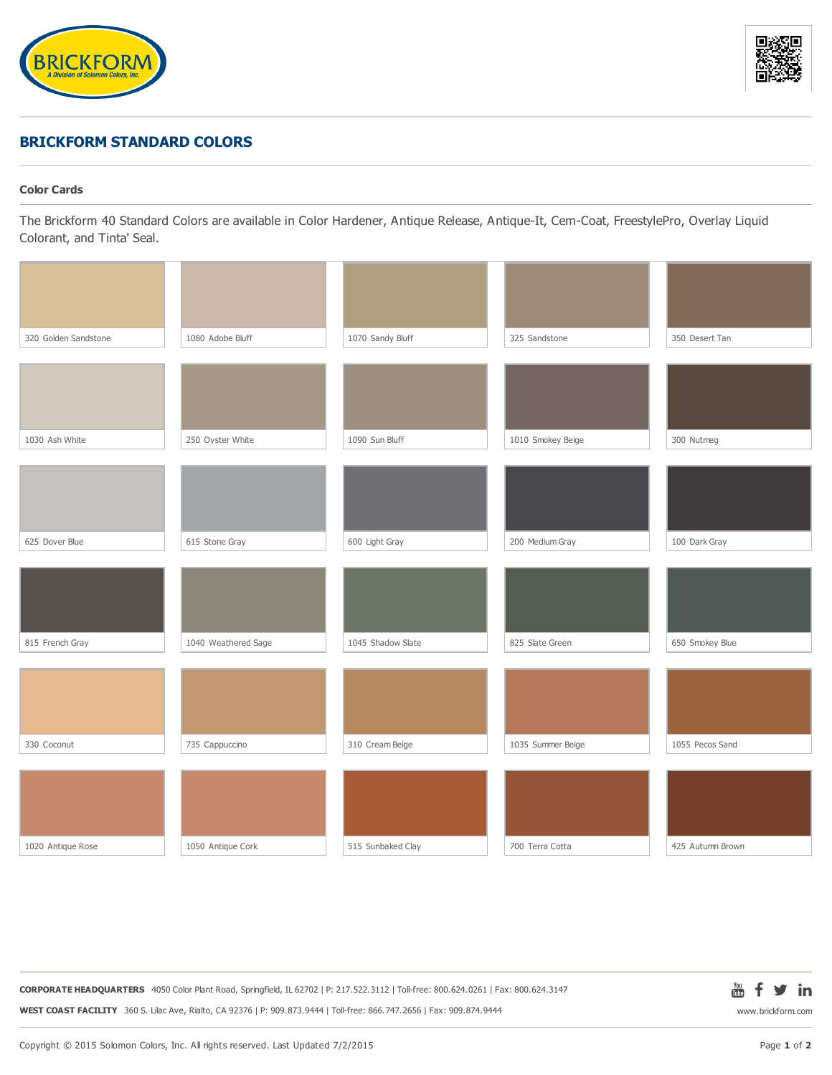



## **BRICKFORM STANDARD COLORS**

## **Color Cards**

The Brickform 40 Standard Colors are available in Color Hardener, Antique Release, Antique-It, Cem-Coat, FreestylePro, Overlay Liquid Colorant, and Tinta' Seal.

| 320 Golden Sandstone | 1080 Adobe Bluff    | 1070 Sandy Bluff  | 325 Sandstone     | 350 Desert Tan   |
|----------------------|---------------------|-------------------|-------------------|------------------|
|                      |                     |                   |                   |                  |
|                      |                     |                   |                   |                  |
| 1030 Ash White       | 250 Oyster White    | 1090 Sun Bluff    | 1010 Smokey Beige | 300 Nutmeg       |
|                      |                     |                   |                   |                  |
|                      |                     |                   |                   |                  |
| 625 Dover Blue       | 615 Stone Gray      | 600 Light Gray    | 200 Medium Gray   | 100 Dark Gray    |
|                      |                     |                   |                   |                  |
| 815 French Gray      | 1040 Weathered Sage | 1045 Shadow Slate | 825 Slate Green   | 650 Smokey Blue  |
|                      |                     |                   |                   |                  |
|                      |                     |                   |                   |                  |
| 330 Coconut          | 735 Cappuccino      | 310 Cream Beige   | 1035 Summer Beige | 1055 Pecos Sand  |
|                      |                     |                   |                   |                  |
|                      |                     |                   |                   |                  |
| 1020 Antique Rose    | 1050 Antique Cork   | 515 Sunbaked Clay | 700 Terra Cotta   | 425 Autumn Brown |

**CORPORATE HEADQUARTERS** 4050 Color Plant Road, Springfield, IL 62702 | P: 217.522.3112 | Toll-free: 800.624.0261 | Fax: 800.624.3147 **WEST COAST FACILITY** 360 S. Lilac Ave, Rialto, CA 92376 | P: 909.873.9444 | Toll-free: 866.747.2656 | Fax: 909.874.9444